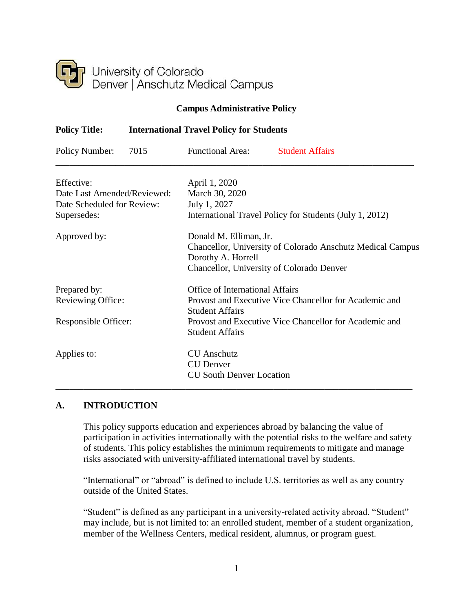

#### **Campus Administrative Policy**

| <b>Policy Title:</b>        | <b>International Travel Policy for Students</b> |                                                         |                                                                   |  |
|-----------------------------|-------------------------------------------------|---------------------------------------------------------|-------------------------------------------------------------------|--|
| Policy Number:              | 7015                                            | <b>Functional Area:</b>                                 | <b>Student Affairs</b>                                            |  |
| Effective:                  |                                                 | April 1, 2020                                           |                                                                   |  |
| Date Last Amended/Reviewed: |                                                 | March 30, 2020                                          |                                                                   |  |
| Date Scheduled for Review:  |                                                 | July 1, 2027                                            |                                                                   |  |
| Supersedes:                 |                                                 | International Travel Policy for Students (July 1, 2012) |                                                                   |  |
| Approved by:                |                                                 | Donald M. Elliman, Jr.                                  |                                                                   |  |
|                             |                                                 |                                                         | <b>Chancellor, University of Colorado Anschutz Medical Campus</b> |  |
|                             |                                                 | Dorothy A. Horrell                                      |                                                                   |  |
|                             |                                                 |                                                         | Chancellor, University of Colorado Denver                         |  |
| Prepared by:                |                                                 | <b>Office of International Affairs</b>                  |                                                                   |  |
| Reviewing Office:           |                                                 |                                                         | Provost and Executive Vice Chancellor for Academic and            |  |
|                             |                                                 | <b>Student Affairs</b>                                  |                                                                   |  |
| Responsible Officer:        |                                                 |                                                         | Provost and Executive Vice Chancellor for Academic and            |  |
|                             |                                                 | <b>Student Affairs</b>                                  |                                                                   |  |
| Applies to:                 |                                                 | <b>CU</b> Anschutz                                      |                                                                   |  |
|                             |                                                 | <b>CU</b> Denver                                        |                                                                   |  |
|                             |                                                 | <b>CU South Denver Location</b>                         |                                                                   |  |
|                             |                                                 |                                                         |                                                                   |  |

#### <span id="page-0-0"></span>**A. INTRODUCTION**

This policy supports education and experiences abroad by balancing the value of participation in activities internationally with the potential risks to the welfare and safety of students. This policy establishes the minimum requirements to mitigate and manage risks associated with university-affiliated international travel by students.

"International" or "abroad" is defined to include U.S. territories as well as any country outside of the United States.

"Student" is defined as any participant in a university-related activity abroad. "Student" may include, but is not limited to: an enrolled student, member of a student organization, member of the Wellness Centers, medical resident, alumnus, or program guest.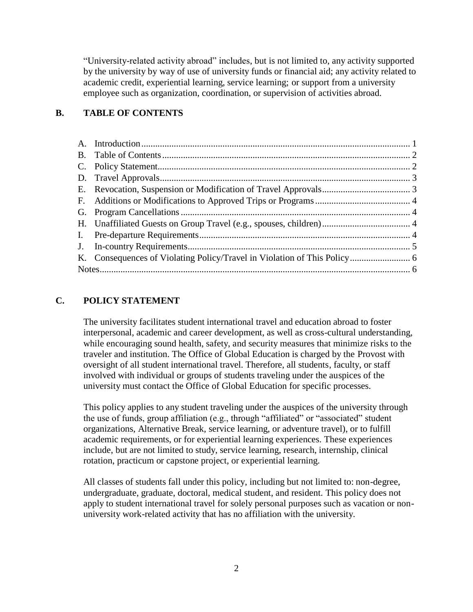"University-related activity abroad" includes, but is not limited to, any activity supported by the university by way of use of university funds or financial aid; any activity related to academic credit, experiential learning, service learning; or support from a university employee such as organization, coordination, or supervision of activities abroad.

## <span id="page-1-0"></span>**B. TABLE OF CONTENTS**

### <span id="page-1-1"></span>**C. POLICY STATEMENT**

The university facilitates student international travel and education abroad to foster interpersonal, academic and career development, as well as cross-cultural understanding, while encouraging sound health, safety, and security measures that minimize risks to the traveler and institution. The Office of Global Education is charged by the Provost with oversight of all student international travel. Therefore, all students, faculty, or staff involved with individual or groups of students traveling under the auspices of the university must contact the Office of Global Education for specific processes.

This policy applies to any student traveling under the auspices of the university through the use of funds, group affiliation (e.g., through "affiliated" or "associated" student organizations, Alternative Break, service learning, or adventure travel), or to fulfill academic requirements, or for experiential learning experiences. These experiences include, but are not limited to study, service learning, research, internship, clinical rotation, practicum or capstone project, or experiential learning.

All classes of students fall under this policy, including but not limited to: non-degree, undergraduate, graduate, doctoral, medical student, and resident. This policy does not apply to student international travel for solely personal purposes such as vacation or nonuniversity work-related activity that has no affiliation with the university.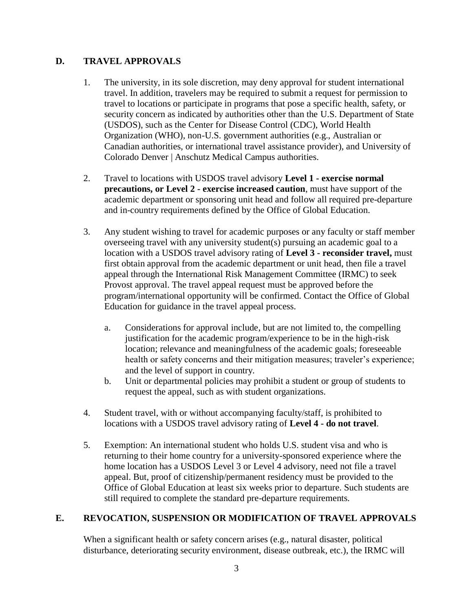### <span id="page-2-0"></span>**D. TRAVEL APPROVALS**

- 1. The university, in its sole discretion, may deny approval for student international travel. In addition, travelers may be required to submit a request for permission to travel to locations or participate in programs that pose a specific health, safety, or security concern as indicated by authorities other than the U.S. Department of State (USDOS), such as the Center for Disease Control (CDC), World Health Organization (WHO), non-U.S. government authorities (e.g., Australian or Canadian authorities, or international travel assistance provider), and University of Colorado Denver | Anschutz Medical Campus authorities.
- 2. Travel to locations with USDOS travel advisory **Level 1 - exercise normal precautions, or Level 2 - exercise increased caution**, must have support of the academic department or sponsoring unit head and follow all required pre-departure and in-country requirements defined by the Office of Global Education.
- 3. Any student wishing to travel for academic purposes or any faculty or staff member overseeing travel with any university student(s) pursuing an academic goal to a location with a USDOS travel advisory rating of **Level 3 - reconsider travel,** must first obtain approval from the academic department or unit head, then file a travel appeal through the International Risk Management Committee (IRMC) to seek Provost approval. The travel appeal request must be approved before the program/international opportunity will be confirmed. Contact the Office of Global Education for guidance in the travel appeal process.
	- a. Considerations for approval include, but are not limited to, the compelling justification for the academic program/experience to be in the high-risk location; relevance and meaningfulness of the academic goals; foreseeable health or safety concerns and their mitigation measures; traveler's experience; and the level of support in country.
	- b. Unit or departmental policies may prohibit a student or group of students to request the appeal, such as with student organizations.
- 4. Student travel, with or without accompanying faculty/staff, is prohibited to locations with a USDOS travel advisory rating of **Level 4 - do not travel**.
- 5. Exemption: An international student who holds U.S. student visa and who is returning to their home country for a university-sponsored experience where the home location has a USDOS Level 3 or Level 4 advisory, need not file a travel appeal. But, proof of citizenship/permanent residency must be provided to the Office of Global Education at least six weeks prior to departure. Such students are still required to complete the standard pre-departure requirements.

# <span id="page-2-1"></span>**E. REVOCATION, SUSPENSION OR MODIFICATION OF TRAVEL APPROVALS**

When a significant health or safety concern arises (e.g., natural disaster, political disturbance, deteriorating security environment, disease outbreak, etc.), the IRMC will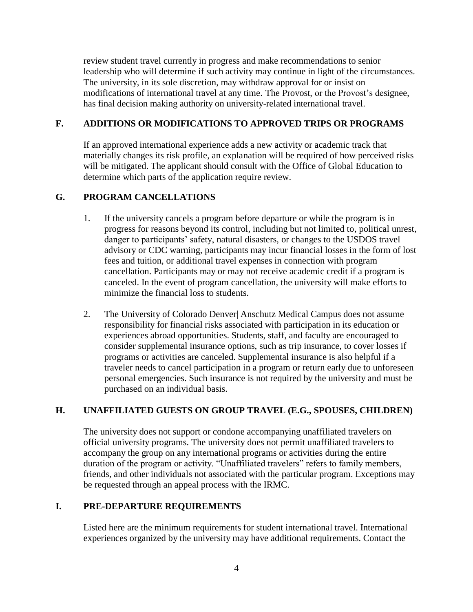review student travel currently in progress and make recommendations to senior leadership who will determine if such activity may continue in light of the circumstances. The university, in its sole discretion, may withdraw approval for or insist on modifications of international travel at any time. The Provost, or the Provost's designee, has final decision making authority on university-related international travel.

### <span id="page-3-0"></span>**F. ADDITIONS OR MODIFICATIONS TO APPROVED TRIPS OR PROGRAMS**

If an approved international experience adds a new activity or academic track that materially changes its risk profile, an explanation will be required of how perceived risks will be mitigated. The applicant should consult with the Office of Global Education to determine which parts of the application require review.

### <span id="page-3-1"></span>**G. PROGRAM CANCELLATIONS**

- 1. If the university cancels a program before departure or while the program is in progress for reasons beyond its control, including but not limited to, political unrest, danger to participants' safety, natural disasters, or changes to the USDOS travel advisory or CDC warning, participants may incur financial losses in the form of lost fees and tuition, or additional travel expenses in connection with program cancellation. Participants may or may not receive academic credit if a program is canceled. In the event of program cancellation, the university will make efforts to minimize the financial loss to students.
- 2. The University of Colorado Denver| Anschutz Medical Campus does not assume responsibility for financial risks associated with participation in its education or experiences abroad opportunities. Students, staff, and faculty are encouraged to consider supplemental insurance options, such as trip insurance, to cover losses if programs or activities are canceled. Supplemental insurance is also helpful if a traveler needs to cancel participation in a program or return early due to unforeseen personal emergencies. Such insurance is not required by the university and must be purchased on an individual basis.

### <span id="page-3-2"></span>**H. UNAFFILIATED GUESTS ON GROUP TRAVEL (E.G., SPOUSES, CHILDREN)**

The university does not support or condone accompanying unaffiliated travelers on official university programs. The university does not permit unaffiliated travelers to accompany the group on any international programs or activities during the entire duration of the program or activity. "Unaffiliated travelers" refers to family members, friends, and other individuals not associated with the particular program. Exceptions may be requested through an appeal process with the IRMC.

## <span id="page-3-3"></span>**I. PRE-DEPARTURE REQUIREMENTS**

Listed here are the minimum requirements for student international travel. International experiences organized by the university may have additional requirements. Contact the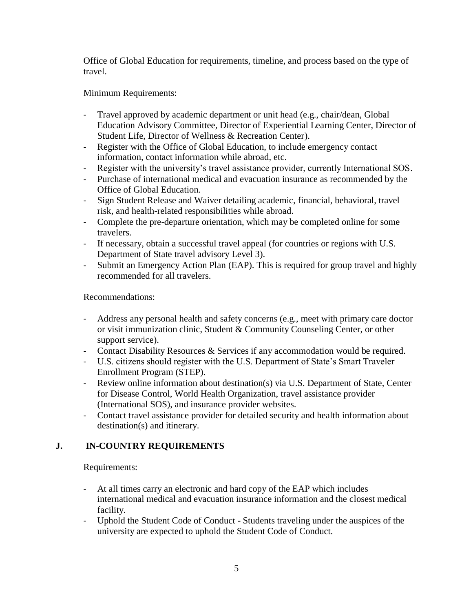Office of Global Education for requirements, timeline, and process based on the type of travel.

### Minimum Requirements:

- Travel approved by academic department or unit head (e.g., chair/dean, Global Education Advisory Committee, Director of Experiential Learning Center, Director of Student Life, Director of Wellness & Recreation Center).
- Register with the Office of Global Education, to include emergency contact information, contact information while abroad, etc.
- Register with the university's travel assistance provider, currently International SOS.
- Purchase of international medical and evacuation insurance as recommended by the Office of Global Education.
- Sign Student Release and Waiver detailing academic, financial, behavioral, travel risk, and health-related responsibilities while abroad.
- Complete the pre-departure orientation, which may be completed online for some travelers.
- If necessary, obtain a successful travel appeal (for countries or regions with U.S. Department of State travel advisory Level 3).
- Submit an Emergency Action Plan (EAP). This is required for group travel and highly recommended for all travelers.

Recommendations:

- Address any personal health and safety concerns (e.g., meet with primary care doctor or visit immunization clinic, Student & Community Counseling Center, or other support service).
- Contact Disability Resources & Services if any accommodation would be required.
- U.S. citizens should register with the U.S. Department of State's Smart Traveler Enrollment Program (STEP).
- Review online information about destination(s) via U.S. Department of State, Center for Disease Control, World Health Organization, travel assistance provider (International SOS), and insurance provider websites.
- <span id="page-4-0"></span>- Contact travel assistance provider for detailed security and health information about destination(s) and itinerary.

## **J. IN-COUNTRY REQUIREMENTS**

Requirements:

- At all times carry an electronic and hard copy of the EAP which includes international medical and evacuation insurance information and the closest medical facility.
- Uphold the Student Code of Conduct Students traveling under the auspices of the university are expected to uphold the Student Code of Conduct.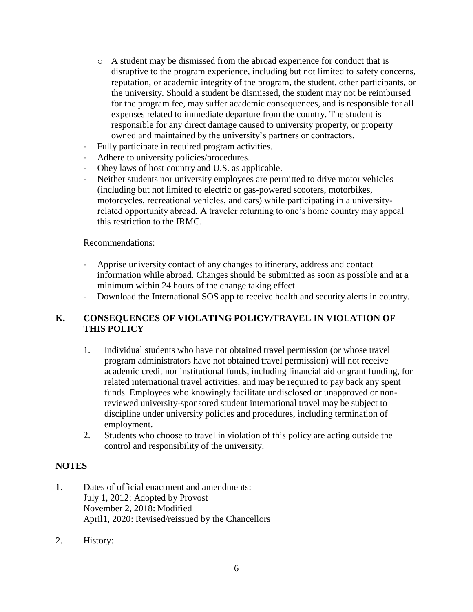- o A student may be dismissed from the abroad experience for conduct that is disruptive to the program experience, including but not limited to safety concerns, reputation, or academic integrity of the program, the student, other participants, or the university. Should a student be dismissed, the student may not be reimbursed for the program fee, may suffer academic consequences, and is responsible for all expenses related to immediate departure from the country. The student is responsible for any direct damage caused to university property, or property owned and maintained by the university's partners or contractors.
- Fully participate in required program activities.
- Adhere to university policies/procedures.
- Obey laws of host country and U.S. as applicable.
- Neither students nor university employees are permitted to drive motor vehicles (including but not limited to electric or gas-powered scooters, motorbikes, motorcycles, recreational vehicles, and cars) while participating in a universityrelated opportunity abroad. A traveler returning to one's home country may appeal this restriction to the IRMC.

Recommendations:

- Apprise university contact of any changes to itinerary, address and contact information while abroad. Changes should be submitted as soon as possible and at a minimum within 24 hours of the change taking effect.
- Download the International SOS app to receive health and security alerts in country.

### <span id="page-5-0"></span>**K. CONSEQUENCES OF VIOLATING POLICY/TRAVEL IN VIOLATION OF THIS POLICY**

- 1. Individual students who have not obtained travel permission (or whose travel program administrators have not obtained travel permission) will not receive academic credit nor institutional funds, including financial aid or grant funding, for related international travel activities, and may be required to pay back any spent funds. Employees who knowingly facilitate undisclosed or unapproved or nonreviewed university-sponsored student international travel may be subject to discipline under university policies and procedures, including termination of employment.
- 2. Students who choose to travel in violation of this policy are acting outside the control and responsibility of the university.

#### <span id="page-5-1"></span>**NOTES**

- 1. Dates of official enactment and amendments: July 1, 2012: Adopted by Provost November 2, 2018: Modified April1, 2020: Revised/reissued by the Chancellors
- 2. History: